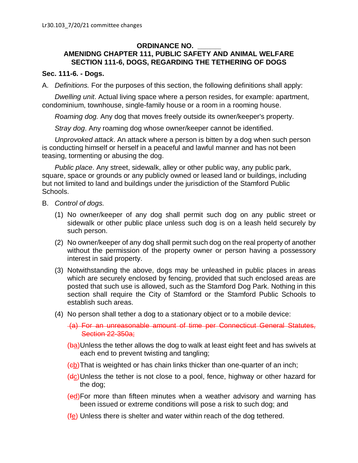## **ORDINANCE NO. \_\_\_\_\_\_**

## **AMENIDNG CHAPTER 111, PUBLIC SAFETY AND ANIMAL WELFARE SECTION 111-6, DOGS, REGARDING THE TETHERING OF DOGS**

## **Sec. 111-6. - Dogs.**

A. *Definitions.* For the purposes of this section, the following definitions shall apply:

*Dwelling unit*. Actual living space where a person resides, for example: apartment, condominium, townhouse, single-family house or a room in a rooming house.

*Roaming dog.* Any dog that moves freely outside its owner/keeper's property.

*Stray dog*. Any roaming dog whose owner/keeper cannot be identified.

*Unprovoked attack*. An attack where a person is bitten by a dog when such person is conducting himself or herself in a peaceful and lawful manner and has not been teasing, tormenting or abusing the dog.

*Public place*. Any street, sidewalk, alley or other public way, any public park, square, space or grounds or any publicly owned or leased land or buildings, including but not limited to land and buildings under the jurisdiction of the Stamford Public Schools.

- B. *Control of dogs.*
	- (1) No owner/keeper of any dog shall permit such dog on any public street or sidewalk or other public place unless such dog is on a leash held securely by such person.
	- (2) No owner/keeper of any dog shall permit such dog on the real property of another without the permission of the property owner or person having a possessory interest in said property.
	- (3) Notwithstanding the above, dogs may be unleashed in public places in areas which are securely enclosed by fencing, provided that such enclosed areas are posted that such use is allowed, such as the Stamford Dog Park. Nothing in this section shall require the City of Stamford or the Stamford Public Schools to establish such areas.
	- (4) No person shall tether a dog to a stationary object or to a mobile device:
		- (a) For an unreasonable amount of time per Connecticut General Statutes, Section 22-350a;
		- (ba)Unless the tether allows the dog to walk at least eight feet and has swivels at each end to prevent twisting and tangling;
		- (eb) That is weighted or has chain links thicker than one-quarter of an inch;
		- (dc)Unless the tether is not close to a pool, fence, highway or other hazard for the dog;
		- (ed)For more than fifteen minutes when a weather advisory and warning has been issued or extreme conditions will pose a risk to such dog; and
		- (fe) Unless there is shelter and water within reach of the dog tethered.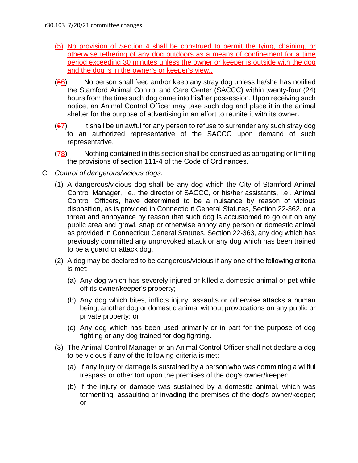- (5) No provision of Section 4 shall be construed to permit the tying, chaining, or otherwise tethering of any dog outdoors as a means of confinement for a time period exceeding 30 minutes unless the owner or keeper is outside with the dog and the dog is in the owner's or keeper's view..
- (56) No person shall feed and/or keep any stray dog unless he/she has notified the Stamford Animal Control and Care Center (SACCC) within twenty-four (24) hours from the time such dog came into his/her possession. Upon receiving such notice, an Animal Control Officer may take such dog and place it in the animal shelter for the purpose of advertising in an effort to reunite it with its owner.
- $(67)$  It shall be unlawful for any person to refuse to surrender any such stray dog to an authorized representative of the SACCC upon demand of such representative.
- (78) Nothing contained in this section shall be construed as abrogating or limiting the provisions of section 111-4 of the Code of Ordinances.
- C. *Control of dangerous/vicious dogs.*
	- (1) A dangerous/vicious dog shall be any dog which the City of Stamford Animal Control Manager, i.e., the director of SACCC, or his/her assistants, i.e., Animal Control Officers, have determined to be a nuisance by reason of vicious disposition, as is provided in Connecticut General Statutes, Section 22-362, or a threat and annoyance by reason that such dog is accustomed to go out on any public area and growl, snap or otherwise annoy any person or domestic animal as provided in Connecticut General Statutes, Section 22-363, any dog which has previously committed any unprovoked attack or any dog which has been trained to be a guard or attack dog.
	- (2) A dog may be declared to be dangerous/vicious if any one of the following criteria is met:
		- (a) Any dog which has severely injured or killed a domestic animal or pet while off its owner/keeper's property;
		- (b) Any dog which bites, inflicts injury, assaults or otherwise attacks a human being, another dog or domestic animal without provocations on any public or private property; or
		- (c) Any dog which has been used primarily or in part for the purpose of dog fighting or any dog trained for dog fighting.
	- (3) The Animal Control Manager or an Animal Control Officer shall not declare a dog to be vicious if any of the following criteria is met:
		- (a) If any injury or damage is sustained by a person who was committing a willful trespass or other tort upon the premises of the dog's owner/keeper;
		- (b) If the injury or damage was sustained by a domestic animal, which was tormenting, assaulting or invading the premises of the dog's owner/keeper; or